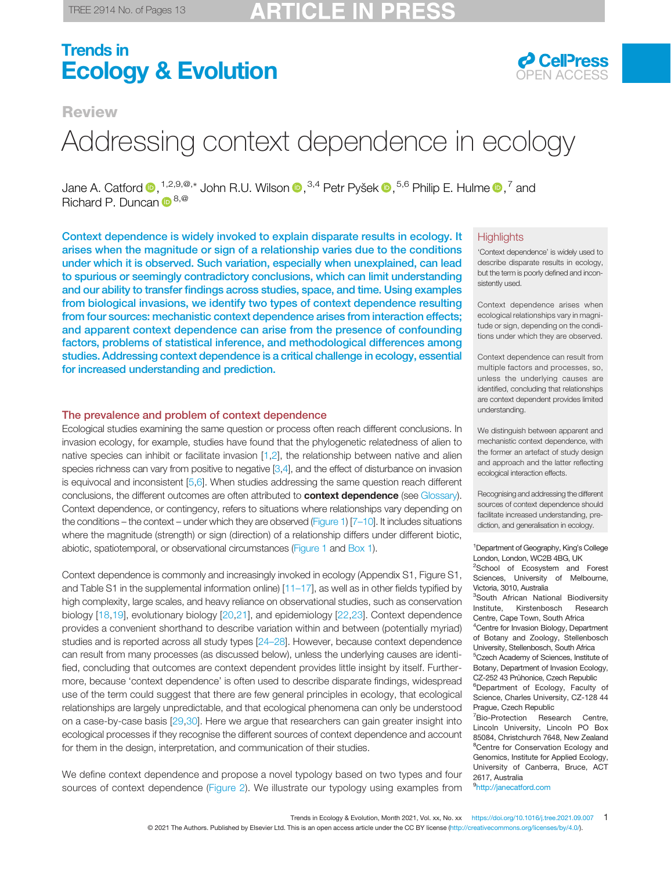## Trends in **Ecology & Evolution COPEN ACCESS**



### **Review**

# Addressing context dependence in ecology

Jane A. Catford  $\bm{\mathbb{D}}, ^{1,2,9,\circledast,*}$  John R.U. Wilson  $\bm{\mathbb{D}}, ^{3,4}$  Petr Pyšek  $\bm{\mathbb{D}}, ^{5,6}$  Philip E. Hulme  $\bm{\mathbb{D}}, ^{7}$  and Richard P. Duncan  $\mathbb{D}^{8,@}$  $\mathbb{D}^{8,@}$  $\mathbb{D}^{8,@}$ 

Context dependence is widely invoked to explain disparate results in ecology. It arises when the magnitude or sign of a relationship varies due to the conditions under which it is observed. Such variation, especially when unexplained, can lead to spurious or seemingly contradictory conclusions, which can limit understanding and our ability to transfer findings across studies, space, and time. Using examples from biological invasions, we identify two types of context dependence resulting from four sources: mechanistic context dependence arises from interaction effects; and apparent context dependence can arise from the presence of confounding factors, problems of statistical inference, and methodological differences among studies. Addressing context dependence is a critical challenge in ecology, essential for increased understanding and prediction.

#### The prevalence and problem of context dependence

Ecological studies examining the same question or process often reach different conclusions. In invasion ecology, for example, studies have found that the phylogenetic relatedness of alien to native species can inhibit or facilitate invasion [[1,2](#page-10-0)], the relationship between native and alien species richness can vary from positive to negative [\[3,4](#page-10-0)], and the effect of disturbance on invasion is equivocal and inconsistent [[5,6\]](#page-10-0). When studies addressing the same question reach different conclusions, the different outcomes are often attributed to **context dependence** (see [Glossary\)](#page-2-0). Context dependence, or contingency, refers to situations where relationships vary depending on the conditions – the context – under which they are observed [\(Figure 1\)](#page-1-0) [7–[10\]](#page-10-0). It includes situations where the magnitude (strength) or sign (direction) of a relationship differs under different biotic, abiotic, spatiotemporal, or observational circumstances [\(Figure 1](#page-1-0) and [Box 1](#page-4-0)).

Context dependence is commonly and increasingly invoked in ecology (Appendix S1, Figure S1, and Table S1 in the supplemental information online)  $[11-17]$  $[11-17]$ , as well as in other fields typified by high complexity, large scales, and heavy reliance on observational studies, such as conservation biology [\[18,19](#page-10-0)], evolutionary biology [[20](#page-10-0),[21\]](#page-10-0), and epidemiology [[22,23](#page-10-0)]. Context dependence provides a convenient shorthand to describe variation within and between (potentially myriad) studies and is reported across all study types [\[24](#page-10-0)–28]. However, because context dependence can result from many processes (as discussed below), unless the underlying causes are identified, concluding that outcomes are context dependent provides little insight by itself. Furthermore, because 'context dependence' is often used to describe disparate findings, widespread use of the term could suggest that there are few general principles in ecology, that ecological relationships are largely unpredictable, and that ecological phenomena can only be understood on a case-by-case basis [\[29](#page-10-0),[30\]](#page-10-0). Here we argue that researchers can gain greater insight into ecological processes if they recognise the different sources of context dependence and account for them in the design, interpretation, and communication of their studies.

We define context dependence and propose a novel typology based on two types and four sources of context dependence ([Figure 2](#page-5-0)). We illustrate our typology using examples from

#### **Highlights**

'Context dependence' is widely used to describe disparate results in ecology, but the term is poorly defined and inconsistently used.

Context dependence arises when ecological relationships vary in magnitude or sign, depending on the conditions under which they are observed.

Context dependence can result from multiple factors and processes, so, unless the underlying causes are identified, concluding that relationships are context dependent provides limited understanding.

We distinguish between apparent and mechanistic context dependence, with the former an artefact of study design and approach and the latter reflecting ecological interaction effects.

Recognising and addressing the different sources of context dependence should facilitate increased understanding, prediction, and generalisation in ecology.

<sup>1</sup>Department of Geography, King's College London, London, WC2B 4BG, UK <sup>2</sup>School of Ecosystem and Forest

Sciences, University of Melbourne, Victoria, 3010, Australia <sup>3</sup>South African National Biodiversity

Institute, Kirstenbosch Research Centre, Cape Town, South Africa

<sup>4</sup> Centre for Invasion Biology, Department of Botany and Zoology, Stellenbosch University, Stellenbosch, South Africa

5 Czech Academy of Sciences, Institute of Botany, Department of Invasion Ecology, CZ-252 43 Průhonice, Czech Republic

<sup>6</sup>Department of Ecology, Faculty of Science, Charles University, CZ-128 44 Prague, Czech Republic

<sup>7</sup>Bio-Protection Research Centre, Lincoln University, Lincoln PO Box 85084, Christchurch 7648, New Zealand <sup>8</sup>Centre for Conservation Ecology and Genomics, Institute for Applied Ecology, University of Canberra, Bruce, ACT 2617, Australia

<sup>9</sup><http://janecatford.com>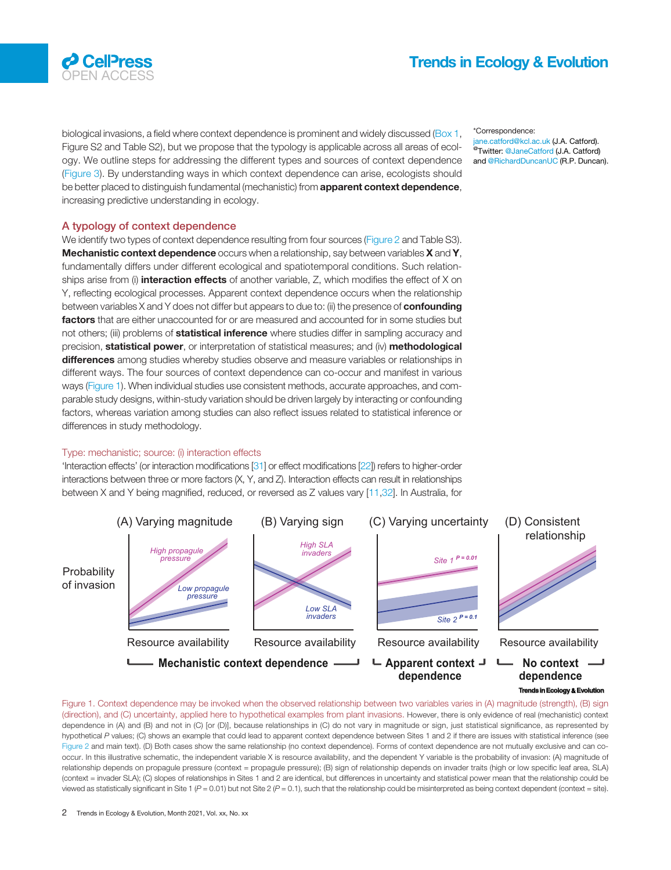<span id="page-1-0"></span>

biological invasions, a field where context dependence is prominent and widely discussed [\(Box 1](#page-4-0), Figure S2 and Table S2), but we propose that the typology is applicable across all areas of ecology. We outline steps for addressing the different types and sources of context dependence ([Figure 3\)](#page-7-0). By understanding ways in which context dependence can arise, ecologists should be better placed to distinguish fundamental (mechanistic) from **apparent context dependence**, increasing predictive understanding in ecology.

\*Correspondence: jane.catford@kcl.ac.uk (J.A. Catford). <sup>@</sup>Twitter: [@JaneCatford](https://twitter.com/JaneCatford) (J.A. Catford) and [@RichardDuncanUC](https://twitter.com/RichardDuncanUC) (R.P. Duncan).

#### A typology of context dependence

We identify two types of context dependence resulting from four sources [\(Figure 2](#page-5-0) and Table S3). Mechanistic context dependence occurs when a relationship, say between variables X and Y, fundamentally differs under different ecological and spatiotemporal conditions. Such relationships arise from (i) interaction effects of another variable, Z, which modifies the effect of X on Y, reflecting ecological processes. Apparent context dependence occurs when the relationship between variables X and Y does not differ but appears to due to: (ii) the presence of **confounding** factors that are either unaccounted for or are measured and accounted for in some studies but not others; (iii) problems of **statistical inference** where studies differ in sampling accuracy and precision, **statistical power**, or interpretation of statistical measures; and (iv) **methodological** differences among studies whereby studies observe and measure variables or relationships in different ways. The four sources of context dependence can co-occur and manifest in various ways (Figure 1). When individual studies use consistent methods, accurate approaches, and comparable study designs, within-study variation should be driven largely by interacting or confounding factors, whereas variation among studies can also reflect issues related to statistical inference or differences in study methodology.

#### Type: mechanistic; source: (i) interaction effects

'Interaction effects' (or interaction modifications [\[31](#page-10-0)] or effect modifications [\[22\]](#page-10-0)) refers to higher-order interactions between three or more factors (X, Y, and Z). Interaction effects can result in relationships between X and Y being magnified, reduced, or reversed as Z values vary [[11](#page-10-0),[32](#page-10-0)]. In Australia, for



**Trends in Ecology & Evo** 

Figure 1. Context dependence may be invoked when the observed relationship between two variables varies in (A) magnitude (strength), (B) sign (direction), and (C) uncertainty, applied here to hypothetical examples from plant invasions. However, there is only evidence of real (mechanistic) context dependence in (A) and (B) and not in (C) [or (D)], because relationships in (C) do not vary in magnitude or sign, just statistical significance, as represented by hypothetical P values; (C) shows an example that could lead to apparent context dependence between Sites 1 and 2 if there are issues with statistical inference (see [Figure 2](#page-5-0) and main text). (D) Both cases show the same relationship (no context dependence). Forms of context dependence are not mutually exclusive and can cooccur. In this illustrative schematic, the independent variable X is resource availability, and the dependent Y variable is the probability of invasion: (A) magnitude of relationship depends on propagule pressure (context = propagule pressure); (B) sign of relationship depends on invader traits (high or low specific leaf area, SLA) (context = invader SLA); (C) slopes of relationships in Sites 1 and 2 are identical, but differences in uncertainty and statistical power mean that the relationship could be viewed as statistically significant in Site 1 (P = 0.01) but not Site 2 (P = 0.1), such that the relationship could be misinterpreted as being context dependent (context = site).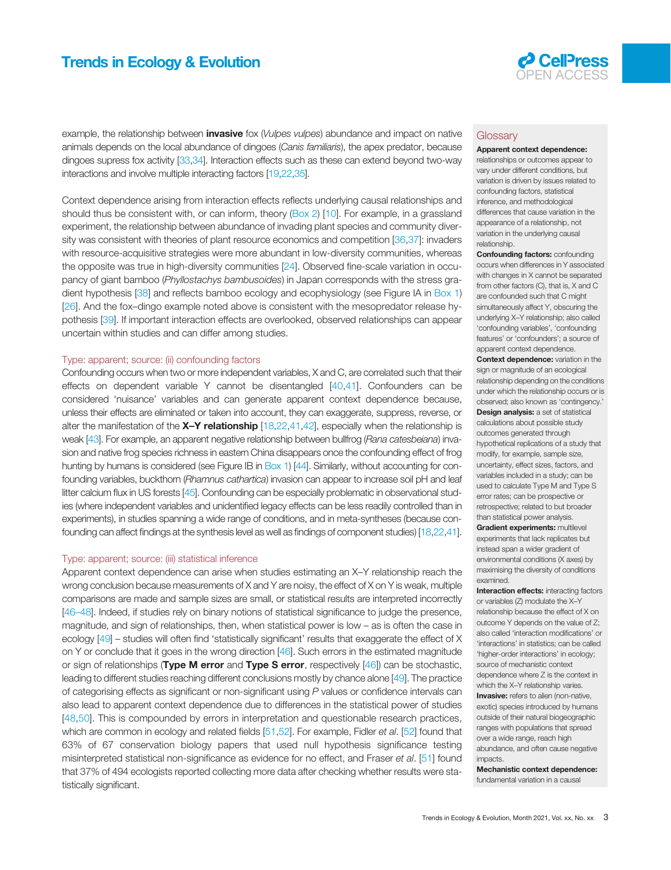## <span id="page-2-0"></span>Trends in Ecology & Evolution **COPEN ACCESS**



example, the relationship between *invasive* fox (Vulpes vulpes) abundance and impact on native animals depends on the local abundance of dingoes (Canis familiaris), the apex predator, because dingoes supress fox activity [\[33,34\]](#page-10-0). Interaction effects such as these can extend beyond two-way interactions and involve multiple interacting factors [\[19,22](#page-10-0),[35](#page-10-0)].

Context dependence arising from interaction effects reflects underlying causal relationships and should thus be consistent with, or can inform, theory ([Box 2\)](#page-7-0) [\[10](#page-10-0)]. For example, in a grassland experiment, the relationship between abundance of invading plant species and community diversity was consistent with theories of plant resource economics and competition [[36,37\]](#page-10-0): invaders with resource-acquisitive strategies were more abundant in low-diversity communities, whereas the opposite was true in high-diversity communities [\[24](#page-10-0)]. Observed fine-scale variation in occupancy of giant bamboo (Phyllostachys bambusoides) in Japan corresponds with the stress gradient hypothesis [\[38](#page-10-0)] and reflects bamboo ecology and ecophysiology (see Figure IA in [Box 1](#page-4-0)) [[26\]](#page-10-0). And the fox–dingo example noted above is consistent with the mesopredator release hypothesis [\[39](#page-10-0)]. If important interaction effects are overlooked, observed relationships can appear uncertain within studies and can differ among studies.

#### Type: apparent; source: (ii) confounding factors

Confounding occurs when two or more independent variables, X and C, are correlated such that their effects on dependent variable Y cannot be disentangled [[40](#page-10-0),[41\]](#page-10-0). Confounders can be considered 'nuisance' variables and can generate apparent context dependence because, unless their effects are eliminated or taken into account, they can exaggerate, suppress, reverse, or alter the manifestation of the  $X-Y$  relationship [\[18](#page-10-0),[22](#page-10-0),[41](#page-10-0),[42](#page-10-0)], especially when the relationship is weak [\[43\]](#page-10-0). For example, an apparent negative relationship between bullfrog (Rana catesbeiana) invasion and native frog species richness in eastern China disappears once the confounding effect of frog hunting by humans is considered (see Figure IB in [Box 1\)](#page-4-0) [\[44](#page-11-0)]. Similarly, without accounting for confounding variables, buckthorn (Rhamnus cathartica) invasion can appear to increase soil pH and leaf litter calcium flux in US forests [\[45](#page-11-0)]. Confounding can be especially problematic in observational studies (where independent variables and unidentified legacy effects can be less readily controlled than in experiments), in studies spanning a wide range of conditions, and in meta-syntheses (because confounding can affect findings at the synthesis level as well as findings of component studies) [\[18,22](#page-10-0),[41](#page-10-0)].

#### Type: apparent; source: (iii) statistical inference

Apparent context dependence can arise when studies estimating an X–Y relationship reach the wrong conclusion because measurements of X and Y are noisy, the effect of X on Y is weak, multiple comparisons are made and sample sizes are small, or statistical results are interpreted incorrectly [46–[48\]](#page-11-0). Indeed, if studies rely on binary notions of statistical significance to judge the presence, magnitude, and sign of relationships, then, when statistical power is low – as is often the case in ecology [\[49](#page-11-0)] – studies will often find 'statistically significant' results that exaggerate the effect of X on Y or conclude that it goes in the wrong direction [\[46](#page-11-0)]. Such errors in the estimated magnitude or sign of relationships (Type M error and Type S error, respectively [\[46](#page-11-0)]) can be stochastic, leading to different studies reaching different conclusions mostly by chance alone [\[49\]](#page-11-0). The practice of categorising effects as significant or non-significant using P values or confidence intervals can also lead to apparent context dependence due to differences in the statistical power of studies [[48](#page-11-0),[50\]](#page-11-0). This is compounded by errors in interpretation and questionable research practices, which are common in ecology and related fields [[51](#page-11-0),[52](#page-11-0)]. For example, Fidler et al. [\[52\]](#page-11-0) found that 63% of 67 conservation biology papers that used null hypothesis significance testing misinterpreted statistical non-significance as evidence for no effect, and Fraser et al. [\[51\]](#page-11-0) found that 37% of 494 ecologists reported collecting more data after checking whether results were statistically significant.

#### **Glossary**

#### Apparent context dependence:

relationships or outcomes appear to vary under different conditions, but variation is driven by issues related to confounding factors, statistical inference, and methodological differences that cause variation in the appearance of a relationship, not variation in the underlying causal relationship.

**Confounding factors: confounding** occurs when differences in Y associated with changes in X cannot be separated from other factors (C), that is, X and C are confounded such that C might simultaneously affect Y, obscuring the underlying X–Y relationship; also called 'confounding variables', 'confounding features' or 'confounders'; a source of apparent context dependence.

Context dependence: variation in the sign or magnitude of an ecological relationship depending on the conditions under which the relationship occurs or is observed; also known as 'contingency.' Design analysis: a set of statistical calculations about possible study outcomes generated through hypothetical replications of a study that modify, for example, sample size, uncertainty, effect sizes, factors, and variables included in a study; can be used to calculate Type M and Type S error rates; can be prospective or retrospective; related to but broader than statistical power analysis.

Gradient experiments: multilevel experiments that lack replicates but instead span a wider gradient of environmental conditions (X axes) by maximising the diversity of conditions examined.

Interaction effects: interacting factors or variables (Z) modulate the X–Y relationship because the effect of X on outcome Y depends on the value of Z; also called 'interaction modifications' or 'interactions' in statistics; can be called 'higher-order interactions' in ecology; source of mechanistic context dependence where Z is the context in which the X–Y relationship varies. **Invasive:** refers to alien (non-native, exotic) species introduced by humans outside of their natural biogeographic ranges with populations that spread over a wide range, reach high abundance, and often cause negative impacts.

Mechanistic context dependence: fundamental variation in a causal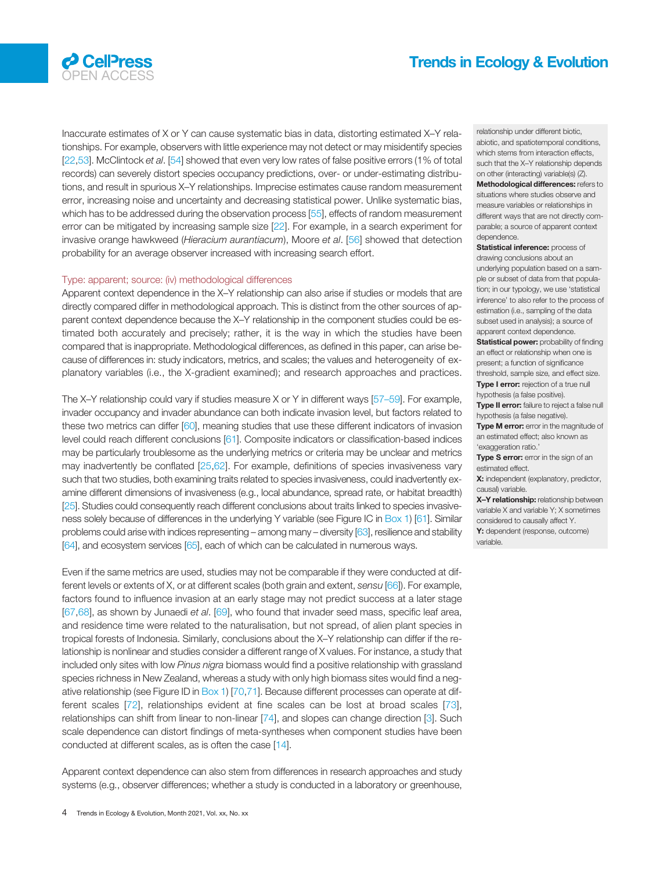

Inaccurate estimates of X or Y can cause systematic bias in data, distorting estimated X–Y relationships. For example, observers with little experience may not detect or may misidentify species [[22](#page-10-0)[,53](#page-11-0)]. McClintock et al. [\[54](#page-11-0)] showed that even very low rates of false positive errors (1% of total records) can severely distort species occupancy predictions, over- or under-estimating distributions, and result in spurious X–Y relationships. Imprecise estimates cause random measurement error, increasing noise and uncertainty and decreasing statistical power. Unlike systematic bias, which has to be addressed during the observation process [\[55](#page-11-0)], effects of random measurement error can be mitigated by increasing sample size [\[22](#page-10-0)]. For example, in a search experiment for invasive orange hawkweed (Hieracium aurantiacum), Moore et al. [\[56\]](#page-11-0) showed that detection probability for an average observer increased with increasing search effort.

#### Type: apparent; source: (iv) methodological differences

Apparent context dependence in the X–Y relationship can also arise if studies or models that are directly compared differ in methodological approach. This is distinct from the other sources of apparent context dependence because the X–Y relationship in the component studies could be estimated both accurately and precisely; rather, it is the way in which the studies have been compared that is inappropriate. Methodological differences, as defined in this paper, can arise because of differences in: study indicators, metrics, and scales; the values and heterogeneity of explanatory variables (i.e., the X-gradient examined); and research approaches and practices.

The X–Y relationship could vary if studies measure X or Y in different ways [57–[59\]](#page-11-0). For example, invader occupancy and invader abundance can both indicate invasion level, but factors related to these two metrics can differ [\[60](#page-11-0)], meaning studies that use these different indicators of invasion level could reach different conclusions [\[61\]](#page-11-0). Composite indicators or classification-based indices may be particularly troublesome as the underlying metrics or criteria may be unclear and metrics may inadvertently be conflated [\[25](#page-10-0),[62\]](#page-11-0). For example, definitions of species invasiveness vary such that two studies, both examining traits related to species invasiveness, could inadvertently examine different dimensions of invasiveness (e.g., local abundance, spread rate, or habitat breadth) [[25](#page-10-0)]. Studies could consequently reach different conclusions about traits linked to species invasive-ness solely because of differences in the underlying Y variable (see Figure IC in [Box 1](#page-4-0)) [[61](#page-11-0)]. Similar problems could arise with indices representing – among many – diversity [\[63\]](#page-11-0), resilience and stability [[64](#page-11-0)], and ecosystem services [[65](#page-11-0)], each of which can be calculated in numerous ways.

Even if the same metrics are used, studies may not be comparable if they were conducted at different levels or extents of X, or at different scales (both grain and extent, sensu [\[66](#page-11-0)]). For example, factors found to influence invasion at an early stage may not predict success at a later stage [[67,68](#page-11-0)], as shown by Junaedi et al. [[69](#page-11-0)], who found that invader seed mass, specific leaf area, and residence time were related to the naturalisation, but not spread, of alien plant species in tropical forests of Indonesia. Similarly, conclusions about the X–Y relationship can differ if the relationship is nonlinear and studies consider a different range of X values. For instance, a study that included only sites with low Pinus nigra biomass would find a positive relationship with grassland species richness in New Zealand, whereas a study with only high biomass sites would find a negative relationship (see Figure ID in [Box 1](#page-4-0)) [[70,71\]](#page-11-0). Because different processes can operate at different scales [[72](#page-11-0)], relationships evident at fine scales can be lost at broad scales [[73\]](#page-11-0), relationships can shift from linear to non-linear [[74\]](#page-11-0), and slopes can change direction [\[3](#page-10-0)]. Such scale dependence can distort findings of meta-syntheses when component studies have been conducted at different scales, as is often the case [[14\]](#page-10-0).

Apparent context dependence can also stem from differences in research approaches and study systems (e.g., observer differences; whether a study is conducted in a laboratory or greenhouse, relationship under different biotic, abiotic, and spatiotemporal conditions, which stems from interaction effects, such that the X–Y relationship depends on other (interacting) variable(s) (Z). Methodological differences: refers to situations where studies observe and measure variables or relationships in different ways that are not directly comparable; a source of apparent context dependence.

Statistical inference: process of drawing conclusions about an underlying population based on a sample or subset of data from that population; in our typology, we use 'statistical inference' to also refer to the process of estimation (i.e., sampling of the data subset used in analysis); a source of apparent context dependence.

**Statistical power:** probability of finding an effect or relationship when one is present; a function of significance threshold, sample size, and effect size. Type I error: rejection of a true null hypothesis (a false positive).

Type II error: failure to reject a false null hypothesis (a false negative).

Type M error: error in the magnitude of an estimated effect; also known as 'exaggeration ratio.'

Type S error: error in the sign of an estimated effect.

X: independent (explanatory, predictor, causal) variable.

X-Y relationship: relationship between variable X and variable Y; X sometimes considered to causally affect Y.

Y: dependent (response, outcome) variable.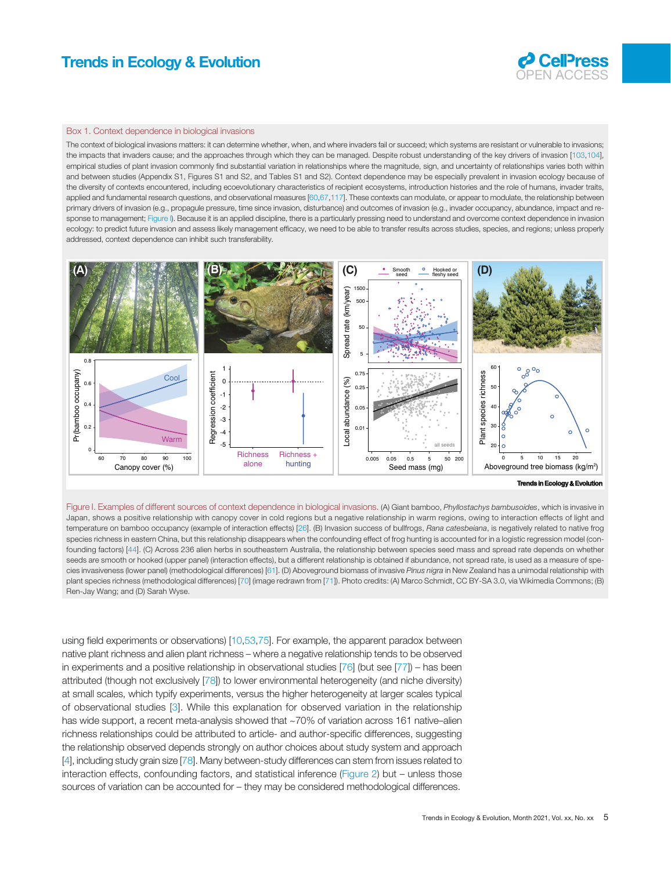## <span id="page-4-0"></span>Trends in Ecology & Evolution **Department Access 20 ACCEPTESS**



#### Box 1. Context dependence in biological invasions

The context of biological invasions matters: it can determine whether, when, and where invaders fail or succeed; which systems are resistant or vulnerable to invasions; the impacts that invaders cause; and the approaches through which they can be managed. Despite robust understanding of the key drivers of invasion [\[103,104\]](#page-12-0), empirical studies of plant invasion commonly find substantial variation in relationships where the magnitude, sign, and uncertainty of relationships varies both within and between studies (Appendix S1, Figures S1 and S2, and Tables S1 and S2). Context dependence may be especially prevalent in invasion ecology because of the diversity of contexts encountered, including ecoevolutionary characteristics of recipient ecosystems, introduction histories and the role of humans, invader traits, applied and fundamental research questions, and observational measures [\[60,67](#page-11-0)[,117\]](#page-12-0). These contexts can modulate, or appear to modulate, the relationship between primary drivers of invasion (e.g., propagule pressure, time since invasion, disturbance) and outcomes of invasion (e.g., invader occupancy, abundance, impact and response to management; Figure I). Because it is an applied discipline, there is a particularly pressing need to understand and overcome context dependence in invasion ecology: to predict future invasion and assess likely management efficacy, we need to be able to transfer results across studies, species, and regions; unless properly addressed, context dependence can inhibit such transferability.



#### **Trends in Ecology Ecology & Evolution**

Figure I. Examples of different sources of context dependence in biological invasions. (A) Giant bamboo, Phyllostachys bambusoides, which is invasive in Japan, shows a positive relationship with canopy cover in cold regions but a negative relationship in warm regions, owing to interaction effects of light and temperature on bamboo occupancy (example of interaction effects) [\[26](#page-10-0)]. (B) Invasion success of bullfrogs, Rana catesbeiana, is negatively related to native frog species richness in eastern China, but this relationship disappears when the confounding effect of frog hunting is accounted for in a logistic regression model (confounding factors) [\[44](#page-11-0)]. (C) Across 236 alien herbs in southeastern Australia, the relationship between species seed mass and spread rate depends on whether seeds are smooth or hooked (upper panel) (interaction effects), but a different relationship is obtained if abundance, not spread rate, is used as a measure of spe-cies invasiveness (lower panel) (methodological differences) [\[61](#page-11-0)]. (D) Aboveground biomass of invasive Pinus nigra in New Zealand has a unimodal relationship with plant species richness (methodological differences) [[70\]](#page-11-0) (image redrawn from [\[71](#page-11-0)]). Photo credits: (A) Marco Schmidt, CC BY-SA 3.0, via Wikimedia Commons; (B) Ren-Jay Wang; and (D) Sarah Wyse.

using field experiments or observations) [[10,](#page-10-0)[53,75\]](#page-11-0). For example, the apparent paradox between native plant richness and alien plant richness – where a negative relationship tends to be observed in experiments and a positive relationship in observational studies [\[76](#page-11-0)] (but see [[77\]](#page-11-0)) – has been attributed (though not exclusively [\[78\]](#page-11-0)) to lower environmental heterogeneity (and niche diversity) at small scales, which typify experiments, versus the higher heterogeneity at larger scales typical of observational studies [[3\]](#page-10-0). While this explanation for observed variation in the relationship has wide support, a recent meta-analysis showed that ~70% of variation across 161 native–alien richness relationships could be attributed to article- and author-specific differences, suggesting the relationship observed depends strongly on author choices about study system and approach [[4\]](#page-10-0), including study grain size [[78](#page-11-0)]. Many between-study differences can stem from issues related to interaction effects, confounding factors, and statistical inference ([Figure 2](#page-5-0)) but – unless those sources of variation can be accounted for – they may be considered methodological differences.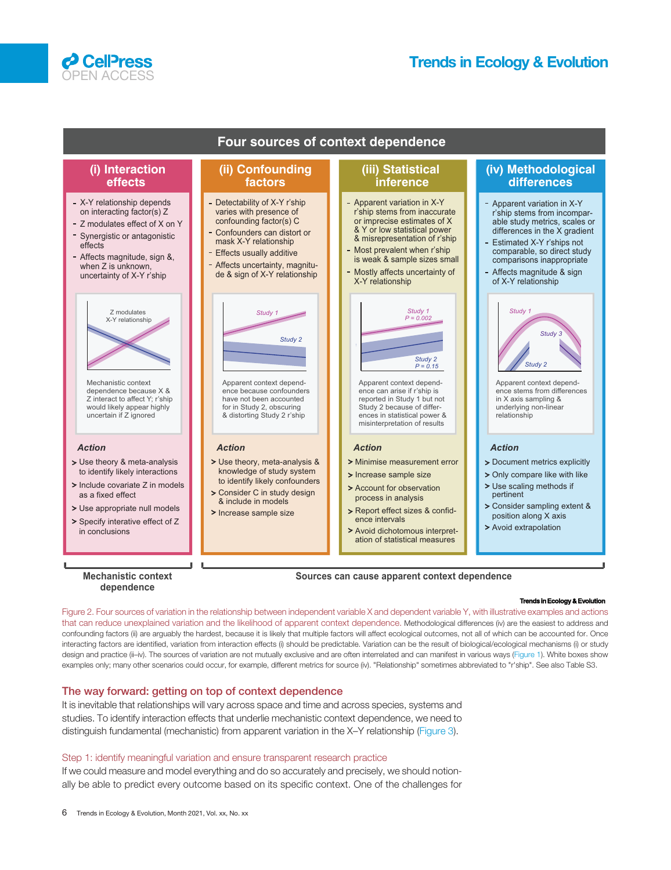<span id="page-5-0"></span>



#### **Trends in Ecology Ecology & Evolution**

Figure 2. Four sources of variation in the relationship between independent variable X and dependent variable Y, with illustrative examples and actions that can reduce unexplained variation and the likelihood of apparent context dependence. Methodological differences (iv) are the easiest to address and confounding factors (ii) are arguably the hardest, because it is likely that multiple factors will affect ecological outcomes, not all of which can be accounted for. Once interacting factors are identified, variation from interaction effects (i) should be predictable. Variation can be the result of biological/ecological mechanisms (i) or study design and practice (ii–iv). The sources of variation are not mutually exclusive and are often interrelated and can manifest in various ways [\(Figure 1](#page-1-0)). White boxes show examples only; many other scenarios could occur, for example, different metrics for source (iv). "Relationship" sometimes abbreviated to "r'ship". See also Table S3.

#### The way forward: getting on top of context dependence

It is inevitable that relationships will vary across space and time and across species, systems and studies. To identify interaction effects that underlie mechanistic context dependence, we need to distinguish fundamental (mechanistic) from apparent variation in the X–Y relationship [\(Figure 3\)](#page-7-0).

#### Step 1: identify meaningful variation and ensure transparent research practice

If we could measure and model everything and do so accurately and precisely, we should notionally be able to predict every outcome based on its specific context. One of the challenges for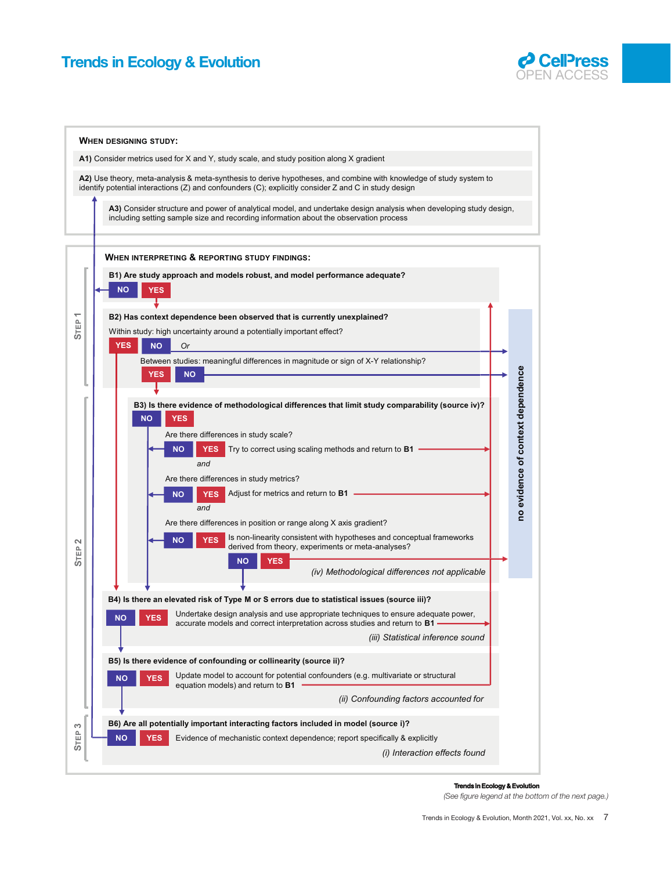



**Trends in Ecology Ecology & Evolution**

(See figure legend at the bottom of the next page.)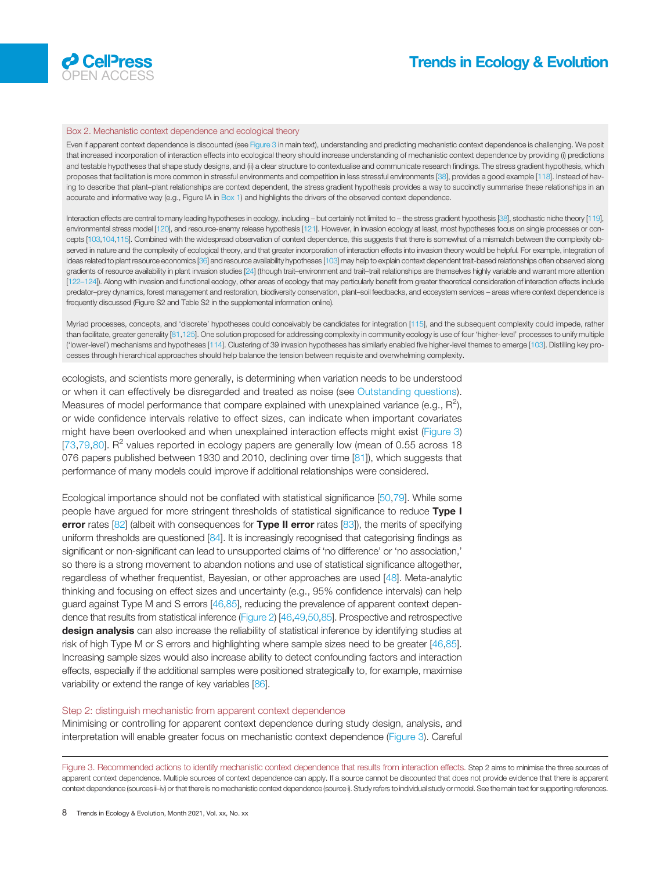<span id="page-7-0"></span>

#### Box 2. Mechanistic context dependence and ecological theory

Even if apparent context dependence is discounted (see Figure 3 in main text), understanding and predicting mechanistic context dependence is challenging. We posit that increased incorporation of interaction effects into ecological theory should increase understanding of mechanistic context dependence by providing (i) predictions and testable hypotheses that shape study designs, and (ii) a clear structure to contextualise and communicate research findings. The stress gradient hypothesis, which proposes that facilitation is more common in stressful environments and competition in less stressful environments [[38](#page-10-0)], provides a good example [\[118\]](#page-12-0). Instead of having to describe that plant–plant relationships are context dependent, the stress gradient hypothesis provides a way to succinctly summarise these relationships in an accurate and informative way (e.g., Figure IA in [Box 1](#page-4-0)) and highlights the drivers of the observed context dependence.

Interaction effects are central to many leading hypotheses in ecology, including – but certainly not limited to – the stress gradient hypothesis [\[38](#page-10-0)], stochastic niche theory [[119\]](#page-12-0), environmental stress model [[120\]](#page-12-0), and resource-enemy release hypothesis [\[121](#page-12-0)]. However, in invasion ecology at least, most hypotheses focus on single processes or concepts [\[103](#page-12-0),[104,115\]](#page-12-0). Combined with the widespread observation of context dependence, this suggests that there is somewhat of a mismatch between the complexity observed in nature and the complexity of ecological theory, and that greater incorporation of interaction effects into invasion theory would be helpful. For example, integration of ideas related to plant resource economics [\[36](#page-10-0)] and resource availability hypotheses [\[103](#page-12-0)] may help to explain context dependent trait-based relationships often observed along gradients of resource availability in plant invasion studies [\[24](#page-10-0)] (though trait–environment and trait-trait relationships are themselves highly variable and warrant more attention [\[122](#page-12-0)–124]). Along with invasion and functional ecology, other areas of ecology that may particularly benefit from greater theoretical consideration of interaction effects include predator–prey dynamics, forest management and restoration, biodiversity conservation, plant–soil feedbacks, and ecosystem services – areas where context dependence is frequently discussed (Figure S2 and Table S2 in the supplemental information online).

Myriad processes, concepts, and 'discrete' hypotheses could conceivably be candidates for integration [[115](#page-12-0)], and the subsequent complexity could impede, rather than facilitate, greater generality [\[81](#page-11-0),[125](#page-12-0)]. One solution proposed for addressing complexity in community ecology is use of four 'higher-level' processes to unify multiple ('lower-level') mechanisms and hypotheses [\[114\]](#page-12-0). Clustering of 39 invasion hypotheses has similarly enabled five higher-level themes to emerge [\[103\]](#page-12-0). Distilling key processes through hierarchical approaches should help balance the tension between requisite and overwhelming complexity.

ecologists, and scientists more generally, is determining when variation needs to be understood or when it can effectively be disregarded and treated as noise (see [Outstanding questions\)](#page-10-0). Measures of model performance that compare explained with unexplained variance (e.g.,  $R^2$ ), or wide confidence intervals relative to effect sizes, can indicate when important covariates might have been overlooked and when unexplained interaction effects might exist (Figure 3) [[73](#page-11-0),[79](#page-11-0),[80\]](#page-11-0).  $R^2$  values reported in ecology papers are generally low (mean of 0.55 across 18 076 papers published between 1930 and 2010, declining over time [[81\]](#page-11-0)), which suggests that performance of many models could improve if additional relationships were considered.

Ecological importance should not be conflated with statistical significance [\[50](#page-11-0),[79\]](#page-11-0). While some people have argued for more stringent thresholds of statistical significance to reduce Type I error rates  $[82]$  $[82]$  (albeit with consequences for Type II error rates  $[83]$  $[83]$ ), the merits of specifying uniform thresholds are questioned [[84](#page-11-0)]. It is increasingly recognised that categorising findings as significant or non-significant can lead to unsupported claims of 'no difference' or 'no association,' so there is a strong movement to abandon notions and use of statistical significance altogether, regardless of whether frequentist, Bayesian, or other approaches are used [[48\]](#page-11-0). Meta-analytic thinking and focusing on effect sizes and uncertainty (e.g., 95% confidence intervals) can help guard against Type M and S errors [\[46,85](#page-11-0)], reducing the prevalence of apparent context dependence that results from statistical inference ([Figure 2\)](#page-5-0) [[46](#page-11-0),[49,50,85\]](#page-11-0). Prospective and retrospective design analysis can also increase the reliability of statistical inference by identifying studies at risk of high Type M or S errors and highlighting where sample sizes need to be greater [[46,85\]](#page-11-0). Increasing sample sizes would also increase ability to detect confounding factors and interaction effects, especially if the additional samples were positioned strategically to, for example, maximise variability or extend the range of key variables [[86](#page-11-0)].

#### Step 2: distinguish mechanistic from apparent context dependence

Minimising or controlling for apparent context dependence during study design, analysis, and interpretation will enable greater focus on mechanistic context dependence (Figure 3). Careful

Figure 3. Recommended actions to identify mechanistic context dependence that results from interaction effects. Step 2 aims to minimise the three sources of apparent context dependence. Multiple sources of context dependence can apply. If a source cannot be discounted that does not provide evidence that there is apparent context dependence (sources ii–iv) or that there is no mechanistic context dependence (source i). Study refers to individual study or model. See the main text for supporting references.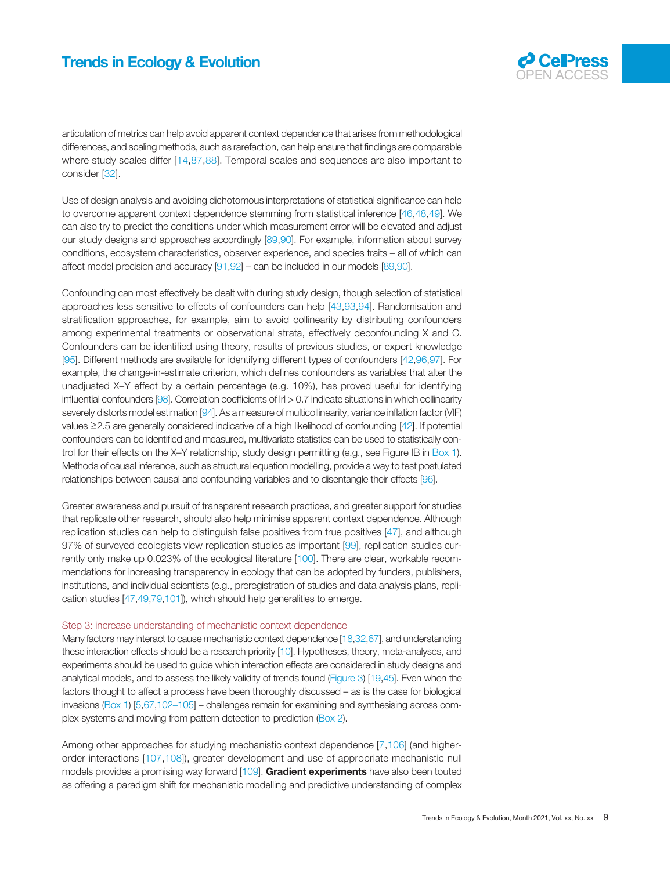

articulation of metrics can help avoid apparent context dependence that arises from methodological differences, and scaling methods, such as rarefaction, can help ensure that findings are comparable where study scales differ [[14](#page-10-0),[87](#page-11-0),[88](#page-11-0)]. Temporal scales and sequences are also important to consider [[32\]](#page-10-0).

Use of design analysis and avoiding dichotomous interpretations of statistical significance can help to overcome apparent context dependence stemming from statistical inference [\[46,48](#page-11-0),[49\]](#page-11-0). We can also try to predict the conditions under which measurement error will be elevated and adjust our study designs and approaches accordingly [[89,90](#page-11-0)]. For example, information about survey conditions, ecosystem characteristics, observer experience, and species traits – all of which can affect model precision and accuracy [\[91,92\]](#page-11-0) – can be included in our models [\[89,90\]](#page-11-0).

Confounding can most effectively be dealt with during study design, though selection of statistical approaches less sensitive to effects of confounders can help [\[43](#page-10-0),[93,94](#page-11-0)]. Randomisation and stratification approaches, for example, aim to avoid collinearity by distributing confounders among experimental treatments or observational strata, effectively deconfounding X and C. Confounders can be identified using theory, results of previous studies, or expert knowledge [[95\]](#page-11-0). Different methods are available for identifying different types of confounders [[42,](#page-10-0)[96,97](#page-11-0)]. For example, the change-in-estimate criterion, which defines confounders as variables that alter the unadjusted X–Y effect by a certain percentage (e.g. 10%), has proved useful for identifying influential confounders [[98](#page-11-0)]. Correlation coefficients of  $|r| > 0.7$  indicate situations in which collinearity severely distorts model estimation [[94](#page-11-0)]. As a measure of multicollinearity, variance inflation factor (VIF) values ≥2.5 are generally considered indicative of a high likelihood of confounding [\[42\]](#page-10-0). If potential confounders can be identified and measured, multivariate statistics can be used to statistically control for their effects on the X–Y relationship, study design permitting (e.g., see Figure IB in [Box 1\)](#page-4-0). Methods of causal inference, such as structural equation modelling, provide a way to test postulated relationships between causal and confounding variables and to disentangle their effects [[96](#page-11-0)].

Greater awareness and pursuit of transparent research practices, and greater support for studies that replicate other research, should also help minimise apparent context dependence. Although replication studies can help to distinguish false positives from true positives [[47\]](#page-11-0), and although 97% of surveyed ecologists view replication studies as important [\[99](#page-11-0)], replication studies currently only make up 0.023% of the ecological literature [[100\]](#page-11-0). There are clear, workable recommendations for increasing transparency in ecology that can be adopted by funders, publishers, institutions, and individual scientists (e.g., preregistration of studies and data analysis plans, replication studies [[47,49,79,101\]](#page-11-0)), which should help generalities to emerge.

#### Step 3: increase understanding of mechanistic context dependence

Many factors may interact to cause mechanistic context dependence [\[18,32](#page-10-0)[,67\]](#page-11-0), and understanding these interaction effects should be a research priority [[10](#page-10-0)]. Hypotheses, theory, meta-analyses, and experiments should be used to guide which interaction effects are considered in study designs and analytical models, and to assess the likely validity of trends found ([Figure 3](#page-7-0)) [[19](#page-10-0),[45](#page-11-0)]. Even when the factors thought to affect a process have been thoroughly discussed – as is the case for biological invasions ([Box 1\)](#page-4-0) [\[5](#page-10-0)[,67,102](#page-11-0)–105] – challenges remain for examining and synthesising across complex systems and moving from pattern detection to prediction [\(Box 2](#page-7-0)).

Among other approaches for studying mechanistic context dependence [[7,](#page-10-0)[106\]](#page-12-0) (and higherorder interactions [\[107,108\]](#page-12-0)), greater development and use of appropriate mechanistic null models provides a promising way forward [[109](#page-12-0)]. Gradient experiments have also been touted as offering a paradigm shift for mechanistic modelling and predictive understanding of complex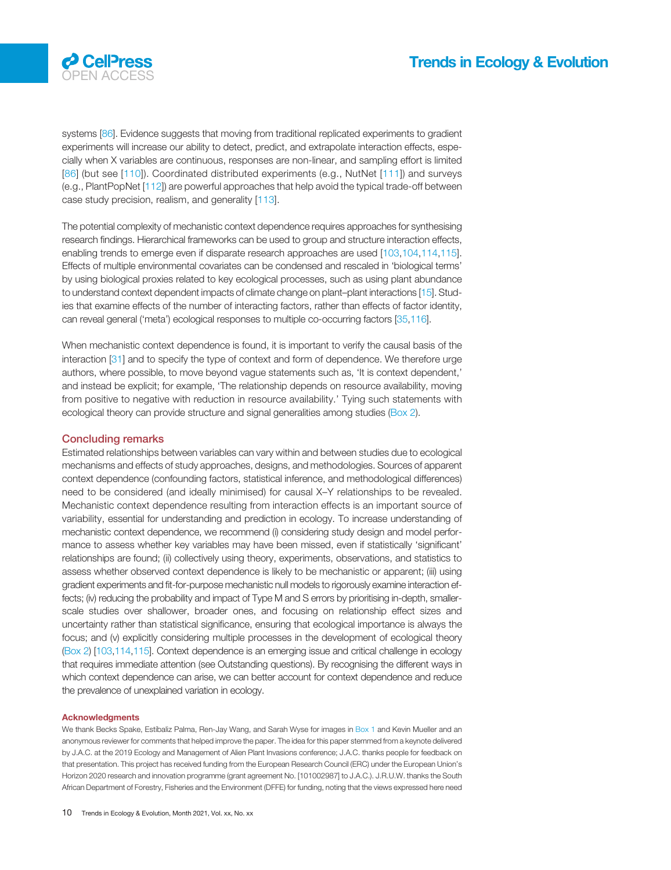

systems [[86](#page-11-0)]. Evidence suggests that moving from traditional replicated experiments to gradient experiments will increase our ability to detect, predict, and extrapolate interaction effects, especially when X variables are continuous, responses are non-linear, and sampling effort is limited [[86\]](#page-11-0) (but see [[110\]](#page-12-0)). Coordinated distributed experiments (e.g., NutNet [[111\]](#page-12-0)) and surveys (e.g., PlantPopNet [\[112](#page-12-0)]) are powerful approaches that help avoid the typical trade-off between case study precision, realism, and generality [[113\]](#page-12-0).

The potential complexity of mechanistic context dependence requires approaches for synthesising research findings. Hierarchical frameworks can be used to group and structure interaction effects, enabling trends to emerge even if disparate research approaches are used [\[103,104](#page-12-0),[114,115\]](#page-12-0). Effects of multiple environmental covariates can be condensed and rescaled in 'biological terms' by using biological proxies related to key ecological processes, such as using plant abundance to understand context dependent impacts of climate change on plant–plant interactions [[15](#page-10-0)]. Studies that examine effects of the number of interacting factors, rather than effects of factor identity, can reveal general ('meta') ecological responses to multiple co-occurring factors [[35,](#page-10-0)[116\]](#page-12-0).

When mechanistic context dependence is found, it is important to verify the causal basis of the interaction [\[31](#page-10-0)] and to specify the type of context and form of dependence. We therefore urge authors, where possible, to move beyond vague statements such as, 'It is context dependent,' and instead be explicit; for example, 'The relationship depends on resource availability, moving from positive to negative with reduction in resource availability.' Tying such statements with ecological theory can provide structure and signal generalities among studies [\(Box 2\)](#page-7-0).

#### Concluding remarks

Estimated relationships between variables can vary within and between studies due to ecological mechanisms and effects of study approaches, designs, and methodologies. Sources of apparent context dependence (confounding factors, statistical inference, and methodological differences) need to be considered (and ideally minimised) for causal X–Y relationships to be revealed. Mechanistic context dependence resulting from interaction effects is an important source of variability, essential for understanding and prediction in ecology. To increase understanding of mechanistic context dependence, we recommend (i) considering study design and model performance to assess whether key variables may have been missed, even if statistically 'significant' relationships are found; (ii) collectively using theory, experiments, observations, and statistics to assess whether observed context dependence is likely to be mechanistic or apparent; (iii) using gradient experiments and fit-for-purpose mechanistic null models to rigorously examine interaction effects; (iv) reducing the probability and impact of Type M and S errors by prioritising in-depth, smallerscale studies over shallower, broader ones, and focusing on relationship effect sizes and uncertainty rather than statistical significance, ensuring that ecological importance is always the focus; and (v) explicitly considering multiple processes in the development of ecological theory ([Box 2\)](#page-7-0) [\[103,114](#page-12-0),[115](#page-12-0)]. Context dependence is an emerging issue and critical challenge in ecology that requires immediate attention (see Outstanding questions). By recognising the different ways in which context dependence can arise, we can better account for context dependence and reduce the prevalence of unexplained variation in ecology.

#### Acknowledgments

We thank Becks Spake, Estíbaliz Palma, Ren-Jay Wang, and Sarah Wyse for images in [Box 1](#page-4-0) and Kevin Mueller and an anonymous reviewer for comments that helped improve the paper. The idea for this paper stemmed from a keynote delivered by J.A.C. at the 2019 Ecology and Management of Alien Plant Invasions conference; J.A.C. thanks people for feedback on that presentation. This project has received funding from the European Research Council (ERC) under the European Union's Horizon 2020 research and innovation programme (grant agreement No. [101002987] to J.A.C.). J.R.U.W. thanks the South African Department of Forestry, Fisheries and the Environment (DFFE) for funding, noting that the views expressed here need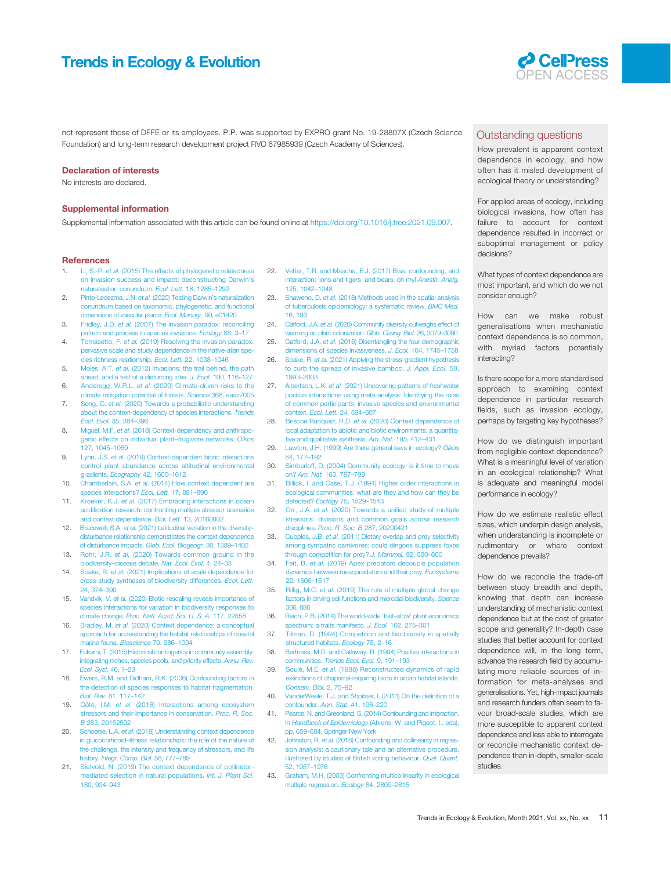## <span id="page-10-0"></span>Trends in Ecology & Evolution **COUP COUP TRENT ACCESS**



not represent those of DFFE or its employees. P.P. was supported by EXPRO grant No. 19-28807X (Czech Science Foundation) and long-term research development project RVO 67985939 (Czech Academy of Sciences).

#### Declaration of interests

No interests are declared.

#### Supplemental information

Supplemental information associated with this article can be found online at <https://doi.org/10.1016/j.tree.2021.09.007>.

#### **References**

- 1. Li, S.-P. et al. [\(2015\) The effects of phylogenetic relatedness](http://refhub.elsevier.com/S0169-5347(21)00258-5/rf0005) [on invasion success and impact: deconstructing Darwin](http://refhub.elsevier.com/S0169-5347(21)00258-5/rf0005)'s [naturalisation conundrum.](http://refhub.elsevier.com/S0169-5347(21)00258-5/rf0005) Ecol. Lett. 18, 1285–1292
- 2. Pinto-Ledezma, J.N. et al. [\(2020\) Testing Darwin](http://refhub.elsevier.com/S0169-5347(21)00258-5/rf0010)'s naturalization [conundrum based on taxonomic, phylogenetic, and functional](http://refhub.elsevier.com/S0169-5347(21)00258-5/rf0010) [dimensions of vascular plants.](http://refhub.elsevier.com/S0169-5347(21)00258-5/rf0010) Ecol. Monogr. 90, e01420
- 3. Fridley, J.D. et al. [\(2007\) The invasion paradox: reconciling](http://refhub.elsevier.com/S0169-5347(21)00258-5/rf0015) [pattern and process in species invasions.](http://refhub.elsevier.com/S0169-5347(21)00258-5/rf0015) Ecology 88, 3–17
- 4. Tomasetto, F. et al. [\(2019\) Resolving the invasion paradox:](http://refhub.elsevier.com/S0169-5347(21)00258-5/rf0020) [pervasive scale and study dependence in the native-alien spe](http://refhub.elsevier.com/S0169-5347(21)00258-5/rf0020)[cies richness relationship.](http://refhub.elsevier.com/S0169-5347(21)00258-5/rf0020) Ecol. Lett. 22, 1038–1046
- 5. Moles, A.T. et al. [\(2012\) Invasions: the trail behind, the path](http://refhub.elsevier.com/S0169-5347(21)00258-5/rf0025) [ahead, and a test of a disturbing idea.](http://refhub.elsevier.com/S0169-5347(21)00258-5/rf0025) J. Ecol. 100, 116–127
- 6. Anderegg, W.R.L. et al. [\(2020\) Climate-driven risks to the](http://refhub.elsevier.com/S0169-5347(21)00258-5/rf0030) [climate mitigation potential of forests.](http://refhub.elsevier.com/S0169-5347(21)00258-5/rf0030) Science 368, eaaz7005
- 7. Song, C. et al. [\(2020\) Towards a probabilistic understanding](http://refhub.elsevier.com/S0169-5347(21)00258-5/rf0035) [about the context-dependency of species interactions.](http://refhub.elsevier.com/S0169-5347(21)00258-5/rf0035) Trends [Ecol. Evol.](http://refhub.elsevier.com/S0169-5347(21)00258-5/rf0035) 35, 384–396
- 8. Miguel, M.F. et al. [\(2018\) Context-dependency and anthropo](http://refhub.elsevier.com/S0169-5347(21)00258-5/rf0040)[genic effects on individual plant](http://refhub.elsevier.com/S0169-5347(21)00258-5/rf0040)–frugivore networks. Oikos [127, 1045](http://refhub.elsevier.com/S0169-5347(21)00258-5/rf0040)–1059
- 9. Lynn, J.S. et al. [\(2019\) Context-dependent biotic interactions](http://refhub.elsevier.com/S0169-5347(21)00258-5/rf0045) [control plant abundance across altitudinal environmental](http://refhub.elsevier.com/S0169-5347(21)00258-5/rf0045) gradients. [Ecography](http://refhub.elsevier.com/S0169-5347(21)00258-5/rf0045) 42, 1600-1612
- 10. Chamberlain, S.A. et al. [\(2014\) How context dependent are](http://refhub.elsevier.com/S0169-5347(21)00258-5/rf0050) becies interactions? Ecol. Lett. 17, 881-890
- 11. Kroeker, K.J. et al. [\(2017\) Embracing interactions in ocean](http://refhub.elsevier.com/S0169-5347(21)00258-5/rf0055) acidifi[cation research: confronting multiple stressor scenarios](http://refhub.elsevier.com/S0169-5347(21)00258-5/rf0055) [and context dependence.](http://refhub.elsevier.com/S0169-5347(21)00258-5/rf0055) Biol. Lett. 13, 20160802
- 12. Bracewell, S.A. et al. [\(2021\) Latitudinal variation in the diversity](http://refhub.elsevier.com/S0169-5347(21)00258-5/rf0060)[disturbance relationship demonstrates the context dependence](http://refhub.elsevier.com/S0169-5347(21)00258-5/rf0060) [of disturbance impacts.](http://refhub.elsevier.com/S0169-5347(21)00258-5/rf0060) Glob. Ecol. Biogeogr. 30, 1389–1402
- 13. Rohr, J.R. et al. [\(2020\) Towards common ground in the](http://refhub.elsevier.com/S0169-5347(21)00258-5/rf0065) biodiversity–[disease debate.](http://refhub.elsevier.com/S0169-5347(21)00258-5/rf0065) Nat. Ecol. Evol. 4, 24–33
- 14. Spake, R. et al. [\(2021\) Implications of scale dependence for](http://refhub.elsevier.com/S0169-5347(21)00258-5/rf0070) [cross-study syntheses of biodiversity differences.](http://refhub.elsevier.com/S0169-5347(21)00258-5/rf0070) Ecol. Lett. [24, 374](http://refhub.elsevier.com/S0169-5347(21)00258-5/rf0070)–390
- 15. Vandvik, V. et al. [\(2020\) Biotic rescaling reveals importance of](http://refhub.elsevier.com/S0169-5347(21)00258-5/rf0075) [species interactions for variation in biodiversity responses to](http://refhub.elsevier.com/S0169-5347(21)00258-5/rf0075) climate change. [Proc. Natl. Acad. Sci. U. S. A.](http://refhub.elsevier.com/S0169-5347(21)00258-5/rf0075) 117, 22858
- 16. Bradley, M. et al. [\(2020\) Context dependence: a conceptual](http://refhub.elsevier.com/S0169-5347(21)00258-5/rf0080) [approach for understanding the habitat relationships of coastal](http://refhub.elsevier.com/S0169-5347(21)00258-5/rf0080) [marine fauna.](http://refhub.elsevier.com/S0169-5347(21)00258-5/rf0080) Bioscience 70, 986–1004
- 17. [Fukami, T. \(2015\) Historical contingency in community assembly:](http://refhub.elsevier.com/S0169-5347(21)00258-5/rf0085) tegrating niches, species pools, and priority effects. Annu. Rev. [Ecol. Syst.](http://refhub.elsevier.com/S0169-5347(21)00258-5/rf0085) 46, 1–23
- 18. [Ewers, R.M. and Didham, R.K. \(2006\) Confounding factors in](http://refhub.elsevier.com/S0169-5347(21)00258-5/rf0090) [the detection of species responses to habitat fragmentation.](http://refhub.elsevier.com/S0169-5347(21)00258-5/rf0090) [Biol. Rev.](http://refhub.elsevier.com/S0169-5347(21)00258-5/rf0090) 81, 117–142
- 19. Côté, I.M. et al. [\(2016\) Interactions among ecosystem](http://refhub.elsevier.com/S0169-5347(21)00258-5/rf0095) [stressors and their importance in conservation.](http://refhub.elsevier.com/S0169-5347(21)00258-5/rf0095) Proc. R. Soc. B [283, 20152592](http://refhub.elsevier.com/S0169-5347(21)00258-5/rf0095)
- 20. Schoenle, L.A. et al. [\(2018\) Understanding context dependence](http://refhub.elsevier.com/S0169-5347(21)00258-5/rf0100) in glucocorticoid–fi[tness relationships: the role of the nature of](http://refhub.elsevier.com/S0169-5347(21)00258-5/rf0100) [the challenge, the intensity and frequency of stressors, and life](http://refhub.elsevier.com/S0169-5347(21)00258-5/rf0100) history. [Integr. Comp. Biol.](http://refhub.elsevier.com/S0169-5347(21)00258-5/rf0100) 58, 777–789
- 21. [Sletvold, N. \(2019\) The context dependence of pollinator](http://refhub.elsevier.com/S0169-5347(21)00258-5/rf0105)[mediated selection in natural populations.](http://refhub.elsevier.com/S0169-5347(21)00258-5/rf0105) Int. J. Plant Sci. [180, 934](http://refhub.elsevier.com/S0169-5347(21)00258-5/rf0105)–943
- 22. [Vetter, T.R. and Mascha, E.J. \(2017\) Bias, confounding, and](http://refhub.elsevier.com/S0169-5347(21)00258-5/rf0110) [interaction: lions and tigers, and bears, oh my!](http://refhub.elsevier.com/S0169-5347(21)00258-5/rf0110) Anesth. Analg. [125, 1042](http://refhub.elsevier.com/S0169-5347(21)00258-5/rf0110)–1048
- 23. Shaweno, D. et al. [\(2018\) Methods used in the spatial analysis](http://refhub.elsevier.com/S0169-5347(21)00258-5/rf0115) [of tuberculosis epidemiology: a systematic review.](http://refhub.elsevier.com/S0169-5347(21)00258-5/rf0115) BMC Med. [16, 193](http://refhub.elsevier.com/S0169-5347(21)00258-5/rf0115)
- 24. Catford, J.A. et al. [\(2020\) Community diversity outweighs effect of](http://refhub.elsevier.com/S0169-5347(21)00258-5/rf0120) [warming on plant colonization.](http://refhub.elsevier.com/S0169-5347(21)00258-5/rf0120) Glob. Chang. Biol. 26, 3079–3090 25. Catford, J.A. et al. [\(2016\) Disentangling the four demographic](http://refhub.elsevier.com/S0169-5347(21)00258-5/rf0125)
- [dimensions of species invasiveness.](http://refhub.elsevier.com/S0169-5347(21)00258-5/rf0125) J. Ecol. 104, 1745–1758 26. Spake, R. et al. (2021) Applying the stress-gradient hypot [to curb the spread of invasive bamboo.](http://refhub.elsevier.com/S0169-5347(21)00258-5/rf0130) J. Appl. Ecol. 58, [1993](http://refhub.elsevier.com/S0169-5347(21)00258-5/rf0130)–2003
- 27. Albertson, L.K. et al. [\(2021\) Uncovering patterns of freshwater](http://refhub.elsevier.com/S0169-5347(21)00258-5/rf0135) [positive interactions using meta-analysis: Identifying the roles](http://refhub.elsevier.com/S0169-5347(21)00258-5/rf0135) [of common participants, invasive species and environmental](http://refhub.elsevier.com/S0169-5347(21)00258-5/rf0135) context. [Ecol. Lett.](http://refhub.elsevier.com/S0169-5347(21)00258-5/rf0135) 24, 594–607
- 28. Briscoe Runquist, R.D. et al. [\(2020\) Context dependence of](http://refhub.elsevier.com/S0169-5347(21)00258-5/rf0140) [local adaptation to abiotic and biotic environments: a quantita](http://refhub.elsevier.com/S0169-5347(21)00258-5/rf0140)[tive and qualitative synthesis.](http://refhub.elsevier.com/S0169-5347(21)00258-5/rf0140) Am. Nat. 195, 412–431
- 29. [Lawton, J.H. \(1999\) Are there general laws in ecology?](http://refhub.elsevier.com/S0169-5347(21)00258-5/rf0145) Oikos [84, 177](http://refhub.elsevier.com/S0169-5347(21)00258-5/rf0145)–192
	- 30. [Simberloff, D. \(2004\) Community ecology: is it time to move](http://refhub.elsevier.com/S0169-5347(21)00258-5/rf0150) on? Am. Nat. [163, 787](http://refhub.elsevier.com/S0169-5347(21)00258-5/rf0150)–799
	- 31. [Billick, I. and Case, T.J. \(1994\) Higher order interactions in](http://refhub.elsevier.com/S0169-5347(21)00258-5/rf0155) [ecological communities: what are they and how can they be](http://refhub.elsevier.com/S0169-5347(21)00258-5/rf0155) [detected?](http://refhub.elsevier.com/S0169-5347(21)00258-5/rf0155) Ecology 75, 1529–1543
	- 32. Orr, J.A. et al. [\(2020\) Towards a uni](http://refhub.elsevier.com/S0169-5347(21)00258-5/rf0160)fied study of multiple [stressors: divisions and common goals across research](http://refhub.elsevier.com/S0169-5347(21)00258-5/rf0160) disciplines. [Proc. R. Soc. B](http://refhub.elsevier.com/S0169-5347(21)00258-5/rf0160) 287, 20200421
	- 33. Cupples, J.B. et al. [\(2011\) Dietary overlap and prey selectivity](http://refhub.elsevier.com/S0169-5347(21)00258-5/rf0165) [among sympatric carnivores: could dingoes suppress foxes](http://refhub.elsevier.com/S0169-5347(21)00258-5/rf0165) [through competition for prey?](http://refhub.elsevier.com/S0169-5347(21)00258-5/rf0165) J. Mammal. 92, 590–600
	- 34. Feit, B. et al. [\(2019\) Apex predators decouple population](http://refhub.elsevier.com/S0169-5347(21)00258-5/rf0170) [dynamics between mesopredators and their prey.](http://refhub.elsevier.com/S0169-5347(21)00258-5/rf0170) Ecosystems [22, 1606](http://refhub.elsevier.com/S0169-5347(21)00258-5/rf0170)–1617
	- 35. Rillig, M.C. et al. [\(2019\) The role of multiple global change](http://refhub.elsevier.com/S0169-5347(21)00258-5/rf0175) [factors in driving soil functions and microbial biodiversity.](http://refhub.elsevier.com/S0169-5347(21)00258-5/rf0175) Science [366, 886](http://refhub.elsevier.com/S0169-5347(21)00258-5/rf0175)
	- 36. [Reich, P.B. \(2014\) The world-wide](http://refhub.elsevier.com/S0169-5347(21)00258-5/rf0180) 'fast–slow' plant economics [spectrum: a traits manifesto.](http://refhub.elsevier.com/S0169-5347(21)00258-5/rf0180) J. Ecol. 102, 275–301
	- 37. [Tilman, D. \(1994\) Competition and biodiversity in spatially](http://refhub.elsevier.com/S0169-5347(21)00258-5/rf0185) [structured habitats.](http://refhub.elsevier.com/S0169-5347(21)00258-5/rf0185) Ecology 75, 2-16
	- 38. [Bertness, M.D. and Callaway, R. \(1994\) Positive interactions in](http://refhub.elsevier.com/S0169-5347(21)00258-5/rf0190) communities. [Trends Ecol. Evol.](http://refhub.elsevier.com/S0169-5347(21)00258-5/rf0190) 9, 191-193
	- 39. Soulé, M.E. et al. [\(1988\) Reconstructed dynamics of rapid](http://refhub.elsevier.com/S0169-5347(21)00258-5/rf0195) [extinctions of chaparral-requiring birds in urban habitat islands.](http://refhub.elsevier.com/S0169-5347(21)00258-5/rf0195) [Conserv. Biol.](http://refhub.elsevier.com/S0169-5347(21)00258-5/rf0195) 2, 75–92
- 40. [VanderWeele, T.J. and Shpitser, I. \(2013\) On the de](http://refhub.elsevier.com/S0169-5347(21)00258-5/rf0200)finition of a [confounder.](http://refhub.elsevier.com/S0169-5347(21)00258-5/rf0200) Ann. Stat. 41, 196–220
- 41. [Pearce, N. and Greenland, S. \(2014\) Confounding and interaction.](http://refhub.elsevier.com/S0169-5347(21)00258-5/rf0205) In Handbook of Epidemiology [\(Ahrens, W. and Pigeot, I., eds\),](http://refhub.elsevier.com/S0169-5347(21)00258-5/rf0205) pp. 659–[684, Springer New York](http://refhub.elsevier.com/S0169-5347(21)00258-5/rf0205)
- 42. Johnston, R. et al. [\(2018\) Confounding and collinearity in regres](http://refhub.elsevier.com/S0169-5347(21)00258-5/rf0210)[sion analysis: a cautionary tale and an alternative procedure,](http://refhub.elsevier.com/S0169-5347(21)00258-5/rf0210) [illustrated by studies of British voting behaviour.](http://refhub.elsevier.com/S0169-5347(21)00258-5/rf0210) Qual. Quant. [52, 1957](http://refhub.elsevier.com/S0169-5347(21)00258-5/rf0210)–1976
- 43. [Graham, M.H. \(2003\) Confronting multicollinearity in ecological](http://refhub.elsevier.com/S0169-5347(21)00258-5/rf0215) [multiple regression.](http://refhub.elsevier.com/S0169-5347(21)00258-5/rf0215) Ecology 84, 2809–2815

#### Outstanding questions

How prevalent is apparent context dependence in ecology, and how often has it misled development of ecological theory or understanding?

For applied areas of ecology, including biological invasions, how often has failure to account for context dependence resulted in incorrect or suboptimal management or policy decisions?

What types of context dependence are most important, and which do we not consider enough?

How can we make robust generalisations when mechanistic context dependence is so common, with myriad factors potentially interacting?

Is there scope for a more standardised approach to examining context dependence in particular research fields, such as invasion ecology, perhaps by targeting key hypotheses?

How do we distinguish important from negligible context dependence? What is a meaningful level of variation in an ecological relationship? What is adequate and meaningful model performance in ecology?

How do we estimate realistic effect sizes, which underpin design analysis, when understanding is incomplete or rudimentary or where context dependence prevails?

How do we reconcile the trade-off between study breadth and depth, knowing that depth can increase understanding of mechanistic context dependence but at the cost of greater scope and generality? In-depth case studies that better account for context dependence will, in the long term, advance the research field by accumulating more reliable sources of information for meta-analyses and generalisations. Yet, high-impact journals and research funders often seem to favour broad-scale studies, which are more susceptible to apparent context dependence and less able to interrogate or reconcile mechanistic context dependence than in-depth, smaller-scale studies.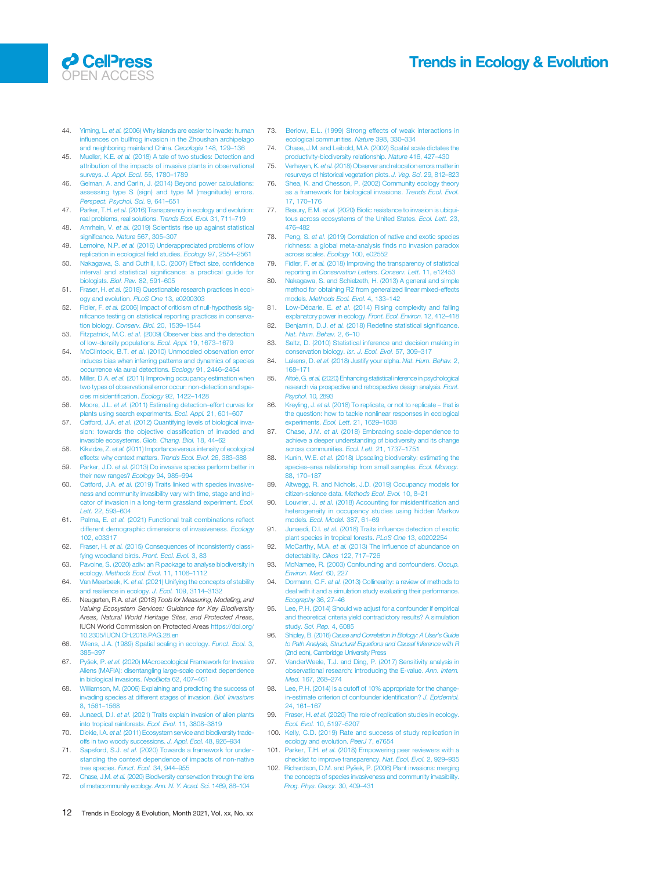### <span id="page-11-0"></span>**O** CellPress **OPEN ACCES**

## Trends in Ecology & Evolution

- 44. Yiming, L. et al. [\(2006\) Why islands are easier to invade: human](http://refhub.elsevier.com/S0169-5347(21)00258-5/rf0220) infl[uences on bullfrog invasion in the Zhoushan archipelago](http://refhub.elsevier.com/S0169-5347(21)00258-5/rf0220) [and neighboring mainland China.](http://refhub.elsevier.com/S0169-5347(21)00258-5/rf0220) Oecologia 148, 129–136
- 45. Mueller, K.E. et al. [\(2018\) A tale of two studies: Detection and](http://refhub.elsevier.com/S0169-5347(21)00258-5/rf0225) [attribution of the impacts of invasive plants in observational](http://refhub.elsevier.com/S0169-5347(21)00258-5/rf0225) surveys. [J. Appl. Ecol.](http://refhub.elsevier.com/S0169-5347(21)00258-5/rf0225) 55, 1780–1789
- 46. [Gelman, A. and Carlin, J. \(2014\) Beyond power calculations:](http://refhub.elsevier.com/S0169-5347(21)00258-5/rf0230) [assessing type S \(sign\) and type M \(magnitude\) errors.](http://refhub.elsevier.com/S0169-5347(21)00258-5/rf0230) [Perspect. Psychol. Sci.](http://refhub.elsevier.com/S0169-5347(21)00258-5/rf0230) 9, 641–651
- 47. Parker, T.H. et al. [\(2016\) Transparency in ecology and evolution:](http://refhub.elsevier.com/S0169-5347(21)00258-5/rf0235) [real problems, real solutions.](http://refhub.elsevier.com/S0169-5347(21)00258-5/rf0235) Trends Ecol. Evol. 31, 711-719
- 48. Amrhein, V. et al. [\(2019\) Scientists rise up against statistical](http://refhub.elsevier.com/S0169-5347(21)00258-5/rf0240) significance. Nature [567, 305](http://refhub.elsevier.com/S0169-5347(21)00258-5/rf0240)-307
- 49. Lemoine, N.P. et al. [\(2016\) Underappreciated problems of low](http://refhub.elsevier.com/S0169-5347(21)00258-5/rf0245) [replication in ecological](http://refhub.elsevier.com/S0169-5347(21)00258-5/rf0245) field studies. Ecology 97, 2554–2561
- 50. [Nakagawa, S. and Cuthill, I.C. \(2007\) Effect size, con](http://refhub.elsevier.com/S0169-5347(21)00258-5/rf0250)fidence nterval and statistical signifi[cance: a practical guide for](http://refhub.elsevier.com/S0169-5347(21)00258-5/rf0250) [biologists.](http://refhub.elsevier.com/S0169-5347(21)00258-5/rf0250) Biol. Rev. 82, 591–605
- 51. Fraser, H. et al. [\(2018\) Questionable research practices in ecol](http://refhub.elsevier.com/S0169-5347(21)00258-5/rf0255)[ogy and evolution.](http://refhub.elsevier.com/S0169-5347(21)00258-5/rf0255) PLoS One 13, e0200303
- 52. Fidler, F. et al. [\(2006\) Impact of criticism of null-hypothesis sig](http://refhub.elsevier.com/S0169-5347(21)00258-5/rf0260)nifi[cance testing on statistical reporting practices in conserva-](http://refhub.elsevier.com/S0169-5347(21)00258-5/rf0260)tion biology. [Conserv. Biol.](http://refhub.elsevier.com/S0169-5347(21)00258-5/rf0260) 20, 1539-1544
- 53. Fitzpatrick, M.C. et al. [\(2009\) Observer bias and the detection](http://refhub.elsevier.com/S0169-5347(21)00258-5/rf0265) [of low-density populations.](http://refhub.elsevier.com/S0169-5347(21)00258-5/rf0265) Ecol. Appl. 19, 1673–1679
- 54. McClintock, B.T. et al. [\(2010\) Unmodeled observation error](http://refhub.elsevier.com/S0169-5347(21)00258-5/rf0270) [induces bias when inferring patterns and dynamics of species](http://refhub.elsevier.com/S0169-5347(21)00258-5/rf0270) [occurrence via aural detections.](http://refhub.elsevier.com/S0169-5347(21)00258-5/rf0270) Ecology 91, 2446–2454
- 55. Miller, D.A. et al. [\(2011\) Improving occupancy estimation when](http://refhub.elsevier.com/S0169-5347(21)00258-5/rf0275) [two types of observational error occur: non-detection and spe](http://refhub.elsevier.com/S0169-5347(21)00258-5/rf0275)[cies misidenti](http://refhub.elsevier.com/S0169-5347(21)00258-5/rf0275)fication. Ecology 92, 1422–1428
- 56. Moore, J.L. et al. [\(2011\) Estimating detection](http://refhub.elsevier.com/S0169-5347(21)00258-5/rf0280)–effort curves for [plants using search experiments.](http://refhub.elsevier.com/S0169-5347(21)00258-5/rf0280) Ecol. Appl. 21, 601–607
- 57. Catford, J.A. et al. [\(2012\) Quantifying levels of biological inva](http://refhub.elsevier.com/S0169-5347(21)00258-5/rf0285)[sion: towards the objective classi](http://refhub.elsevier.com/S0169-5347(21)00258-5/rf0285)fication of invaded and [invasible ecosystems.](http://refhub.elsevier.com/S0169-5347(21)00258-5/rf0285) Glob. Chang. Biol. 18, 44–62
- 58. Kikvidze, Z. et al. [\(2011\) Importance versus intensity of ecological](http://refhub.elsevier.com/S0169-5347(21)00258-5/rf0290) ffects: why context matters. Trends Ecol. Evol. 26, 383-388
- 59. Parker, J.D. et al. [\(2013\) Do invasive species perform better in](http://refhub.elsevier.com/S0169-5347(21)00258-5/rf0295) [their new ranges?](http://refhub.elsevier.com/S0169-5347(21)00258-5/rf0295) Ecology 94, 985–994
- 60. Catford, J.A. et al. [\(2019\) Traits linked with species invasive](http://refhub.elsevier.com/S0169-5347(21)00258-5/rf0300)[ness and community invasibility vary with time, stage and indi](http://refhub.elsevier.com/S0169-5347(21)00258-5/rf0300)[cator of invasion in a long-term grassland experiment.](http://refhub.elsevier.com/S0169-5347(21)00258-5/rf0300) Ecol. Lett. [22, 593](http://refhub.elsevier.com/S0169-5347(21)00258-5/rf0300)–604
- 61. Palma, E. et al. [\(2021\) Functional trait combinations re](http://refhub.elsevier.com/S0169-5347(21)00258-5/rf0305)flect [different demographic dimensions of invasiveness.](http://refhub.elsevier.com/S0169-5347(21)00258-5/rf0305) Ecology [102, e03317](http://refhub.elsevier.com/S0169-5347(21)00258-5/rf0305)
- 62. Fraser, H. et al. [\(2015\) Consequences of inconsistently classi](http://refhub.elsevier.com/S0169-5347(21)00258-5/rf0310)[fying woodland birds.](http://refhub.elsevier.com/S0169-5347(21)00258-5/rf0310) Front. Ecol. Evol. 3, 83
- 63. [Pavoine, S. \(2020\) adiv: an R package to analyse biodiversity in](http://refhub.elsevier.com/S0169-5347(21)00258-5/rf0315) ecology. [Methods Ecol. Evol.](http://refhub.elsevier.com/S0169-5347(21)00258-5/rf0315) 11, 1106–1112
- 64. Van Meerbeek, K. et al. [\(2021\) Unifying the concepts of stability](http://refhub.elsevier.com/S0169-5347(21)00258-5/rf0320) [and resilience in ecology.](http://refhub.elsevier.com/S0169-5347(21)00258-5/rf0320) J. Ecol. 109, 3114-3132
- 65. Neugarten, R.A. et al. (2018) Tools for Measuring, Modelling, and Valuing Ecosystem Services: Guidance for Key Biodiversity Areas, Natural World Heritage Sites, and Protected Areas, IUCN World Commission on Protected Areas [https://doi.org/](https://doi.org/10.2305/IUCN.CH.2018.PAG.28.en) [10.2305/IUCN.CH.2018.PAG.28.en](https://doi.org/10.2305/IUCN.CH.2018.PAG.28.en)
- 66. [Wiens, J.A. \(1989\) Spatial scaling in ecology.](http://refhub.elsevier.com/S0169-5347(21)00258-5/rf0330) Funct. Ecol. 3, [385](http://refhub.elsevier.com/S0169-5347(21)00258-5/rf0330)–397
- 67. Pyšek, P. et al. [\(2020\) MAcroecological Framework for Invasive](http://refhub.elsevier.com/S0169-5347(21)00258-5/rf0335) [Aliens \(MAFIA\): disentangling large-scale context dependence](http://refhub.elsevier.com/S0169-5347(21)00258-5/rf0335) [in biological invasions.](http://refhub.elsevier.com/S0169-5347(21)00258-5/rf0335) NeoBiota 62, 407–461
- 68. [Williamson, M. \(2006\) Explaining and predicting the success of](http://refhub.elsevier.com/S0169-5347(21)00258-5/rf0340) [invading species at different stages of invasion.](http://refhub.elsevier.com/S0169-5347(21)00258-5/rf0340) Biol. Invasions [8, 1561](http://refhub.elsevier.com/S0169-5347(21)00258-5/rf0340)–1568
- 69. Junaedi, D.I. et al. [\(2021\) Traits explain invasion of alien plants](http://refhub.elsevier.com/S0169-5347(21)00258-5/rf0345) [into tropical rainforests.](http://refhub.elsevier.com/S0169-5347(21)00258-5/rf0345) Ecol. Evol. 11, 3808–3819
- 70. Dickie, I.A. et al. [\(2011\) Ecosystem service and biodiversity trade](http://refhub.elsevier.com/S0169-5347(21)00258-5/rf0350)[offs in two woody successions.](http://refhub.elsevier.com/S0169-5347(21)00258-5/rf0350) J. Appl. Ecol. 48, 926–934
- 71. Sapsford, S.J. et al. [\(2020\) Towards a framework for under](http://refhub.elsevier.com/S0169-5347(21)00258-5/rf0355)[standing the context dependence of impacts of non-native](http://refhub.elsevier.com/S0169-5347(21)00258-5/rf0355) ee species. Funct. Ecol. 34, 944–955
- 72. Chase, J.M. et al. [\(2020\) Biodiversity conservation through the lens](http://refhub.elsevier.com/S0169-5347(21)00258-5/rf0360) [of metacommunity ecology.](http://refhub.elsevier.com/S0169-5347(21)00258-5/rf0360) Ann. N. Y. Acad. Sci. 1469, 86–104
- 73. [Berlow, E.L. \(1999\) Strong effects of weak interactions in](http://refhub.elsevier.com/S0169-5347(21)00258-5/rf0365) [ecological communities.](http://refhub.elsevier.com/S0169-5347(21)00258-5/rf0365) Nature 398, 330–334
- 74. [Chase, J.M. and Leibold, M.A. \(2002\) Spatial scale dictates the](http://refhub.elsevier.com/S0169-5347(21)00258-5/rf0370) [productivity-biodiversity relationship.](http://refhub.elsevier.com/S0169-5347(21)00258-5/rf0370) Nature 416, 427–430
- 75. Verheyen, K. et al. [\(2018\) Observer and relocation errors matter in](http://refhub.elsevier.com/S0169-5347(21)00258-5/rf0375) [resurveys of historical vegetation plots.](http://refhub.elsevier.com/S0169-5347(21)00258-5/rf0375) J. Veg. Sci. 29, 812-823
- 76. [Shea, K. and Chesson, P. \(2002\) Community ecology theory](http://refhub.elsevier.com/S0169-5347(21)00258-5/rf0380) [as a framework for biological invasions.](http://refhub.elsevier.com/S0169-5347(21)00258-5/rf0380) Trends Ecol. Evol. [17, 170](http://refhub.elsevier.com/S0169-5347(21)00258-5/rf0380)–176
- 77. Beaury, E.M. et al. [\(2020\) Biotic resistance to invasion is ubiqui](http://refhub.elsevier.com/S0169-5347(21)00258-5/rf0385)[tous across ecosystems of the United States.](http://refhub.elsevier.com/S0169-5347(21)00258-5/rf0385) Ecol. Lett. 23, [476](http://refhub.elsevier.com/S0169-5347(21)00258-5/rf0385)–482
- 78. Peng, S. et al. [\(2019\) Correlation of native and exotic species](http://refhub.elsevier.com/S0169-5347(21)00258-5/rf0390) [richness: a global meta-analysis](http://refhub.elsevier.com/S0169-5347(21)00258-5/rf0390) finds no invasion paradox [across scales.](http://refhub.elsevier.com/S0169-5347(21)00258-5/rf0390) Ecology 100, e02552
- 79. Fidler, F. et al. [\(2018\) Improving the transparency of statistical](http://refhub.elsevier.com/S0169-5347(21)00258-5/rf0395) reporting in [Conservation Letters](http://refhub.elsevier.com/S0169-5347(21)00258-5/rf0395). Conserv. Lett. 11, e12453
- 80. [Nakagawa, S. and Schielzeth, H. \(2013\) A general and simple](http://refhub.elsevier.com/S0169-5347(21)00258-5/rf0400) [method for obtaining R2 from generalized linear mixed-effects](http://refhub.elsevier.com/S0169-5347(21)00258-5/rf0400) models. [Methods Ecol. Evol.](http://refhub.elsevier.com/S0169-5347(21)00258-5/rf0400) 4, 133–142
- 81. Low-Décarie, E. et al. [\(2014\) Rising complexity and falling](http://refhub.elsevier.com/S0169-5347(21)00258-5/rf0405) [explanatory power in ecology.](http://refhub.elsevier.com/S0169-5347(21)00258-5/rf0405) Front. Ecol. Environ. 12, 412–418
- 82. Benjamin, D.J. et al. (2018) Redefi[ne statistical signi](http://refhub.elsevier.com/S0169-5347(21)00258-5/rf0410)ficance. [Nat. Hum. Behav.](http://refhub.elsevier.com/S0169-5347(21)00258-5/rf0410) 2, 6–10
- 83. [Saltz, D. \(2010\) Statistical inference and decision making in](http://refhub.elsevier.com/S0169-5347(21)00258-5/rf0415) [conservation biology.](http://refhub.elsevier.com/S0169-5347(21)00258-5/rf0415) Isr. J. Ecol. Evol. 57, 309–317
- 84. Lakens, D. et al. [\(2018\) Justify your alpha.](http://refhub.elsevier.com/S0169-5347(21)00258-5/rf0420) Nat. Hum. Behav. 2, [168](http://refhub.elsevier.com/S0169-5347(21)00258-5/rf0420)–171
- 85. Altoè, G. et al. [\(2020\) Enhancing statistical inference in psychological](http://refhub.elsevier.com/S0169-5347(21)00258-5/rf0425) [research via prospective and retrospective design analysis.](http://refhub.elsevier.com/S0169-5347(21)00258-5/rf0425) Front. Psychol. [10, 2893](http://refhub.elsevier.com/S0169-5347(21)00258-5/rf0425)
- 86. Kreyling, J. et al. [\(2018\) To replicate, or not to replicate](http://refhub.elsevier.com/S0169-5347(21)00258-5/rf0430) that is [the question: how to tackle nonlinear responses in ecological](http://refhub.elsevier.com/S0169-5347(21)00258-5/rf0430) [experiments.](http://refhub.elsevier.com/S0169-5347(21)00258-5/rf0430) Ecol. Lett. 21, 1629–1638
- 87. Chase, J.M. et al. [\(2018\) Embracing scale-dependence to](http://refhub.elsevier.com/S0169-5347(21)00258-5/rf0435) [achieve a deeper understanding of biodiversity and its change](http://refhub.elsevier.com/S0169-5347(21)00258-5/rf0435) [across communities.](http://refhub.elsevier.com/S0169-5347(21)00258-5/rf0435) Ecol. Lett. 21, 1737–1751
- 88. Kunin, W.E. et al. [\(2018\) Upscaling biodiversity: estimating the](http://refhub.elsevier.com/S0169-5347(21)00258-5/rf0440) species–[area relationship from small samples.](http://refhub.elsevier.com/S0169-5347(21)00258-5/rf0440) Ecol. Monogr. [88, 170](http://refhub.elsevier.com/S0169-5347(21)00258-5/rf0440)–187
- 89. [Altwegg, R. and Nichols, J.D. \(2019\) Occupancy models for](http://refhub.elsevier.com/S0169-5347(21)00258-5/rf0445) [citizen-science data.](http://refhub.elsevier.com/S0169-5347(21)00258-5/rf0445) Methods Ecol. Evol. 10, 8–21
- 90. Louvrier, J. et al. [\(2018\) Accounting for misidenti](http://refhub.elsevier.com/S0169-5347(21)00258-5/rf0450)fication and [heterogeneity in occupancy studies using hidden Markov](http://refhub.elsevier.com/S0169-5347(21)00258-5/rf0450) models. [Ecol. Model.](http://refhub.elsevier.com/S0169-5347(21)00258-5/rf0450) 387, 61–69
- 91. Junaedi, D.I. et al. (2018) Traits infl[uence detection of exotic](http://refhub.elsevier.com/S0169-5347(21)00258-5/rf0455) [plant species in tropical forests.](http://refhub.elsevier.com/S0169-5347(21)00258-5/rf0455) PLoS One 13, e0202254
- 92. McCarthy, M.A. et al. (2013) The infl[uence of abundance on](http://refhub.elsevier.com/S0169-5347(21)00258-5/rf0460) [detectability.](http://refhub.elsevier.com/S0169-5347(21)00258-5/rf0460) Oikos 122, 717-726
- 93. [McNamee, R. \(2003\) Confounding and confounders.](http://refhub.elsevier.com/S0169-5347(21)00258-5/rf0465) Occup. [Environ. Med.](http://refhub.elsevier.com/S0169-5347(21)00258-5/rf0465) 60, 227
- 94. Dormann, C.F. et al. [\(2013\) Collinearity: a review of methods to](http://refhub.elsevier.com/S0169-5347(21)00258-5/rf0470) [deal with it and a simulation study evaluating their performance.](http://refhub.elsevier.com/S0169-5347(21)00258-5/rf0470) [Ecography](http://refhub.elsevier.com/S0169-5347(21)00258-5/rf0470) 36, 27–46
- 95. [Lee, P.H. \(2014\) Should we adjust for a confounder if empirical](http://refhub.elsevier.com/S0169-5347(21)00258-5/rf0475) [and theoretical criteria yield contradictory results? A simulation](http://refhub.elsevier.com/S0169-5347(21)00258-5/rf0475) study. [Sci. Rep.](http://refhub.elsevier.com/S0169-5347(21)00258-5/rf0475) 4, 6085
- 96. Shipley, B. (2016) [Cause and Correlation in Biology: A User](http://refhub.elsevier.com/S0169-5347(21)00258-5/rf0480)'s Guide [to Path Analysis, Structural Equations and Causal Inference with R](http://refhub.elsevier.com/S0169-5347(21)00258-5/rf0480) [\(2nd edn\), Cambridge University Press](http://refhub.elsevier.com/S0169-5347(21)00258-5/rf0480)
- 97. [VanderWeele, T.J. and Ding, P. \(2017\) Sensitivity analysis in](http://refhub.elsevier.com/S0169-5347(21)00258-5/rf0485) [observational research: introducing the E-value.](http://refhub.elsevier.com/S0169-5347(21)00258-5/rf0485) Ann. Intern. Med. [167, 268](http://refhub.elsevier.com/S0169-5347(21)00258-5/rf0485)–274
- 98. [Lee, P.H. \(2014\) Is a cutoff of 10% appropriate for the change](http://refhub.elsevier.com/S0169-5347(21)00258-5/rf0490)[in-estimate criterion of confounder identi](http://refhub.elsevier.com/S0169-5347(21)00258-5/rf0490)fication? J. Epidemiol. [24, 161](http://refhub.elsevier.com/S0169-5347(21)00258-5/rf0490)–167
- 99. Fraser, H. et al. (2020) The role of replication studies in ecology [Ecol. Evol.](http://refhub.elsevier.com/S0169-5347(21)00258-5/rf0495) 10, 5197–5207
- 100. [Kelly, C.D. \(2019\) Rate and success of study replication in](http://refhub.elsevier.com/S0169-5347(21)00258-5/rf0500) [ecology and evolution.](http://refhub.elsevier.com/S0169-5347(21)00258-5/rf0500) PeerJ 7, e7654
- 101. Parker, T.H. et al. [\(2018\) Empowering peer reviewers with a](http://refhub.elsevier.com/S0169-5347(21)00258-5/rf0505) [checklist to improve transparency.](http://refhub.elsevier.com/S0169-5347(21)00258-5/rf0505) Nat. Ecol. Evol. 2, 929–935
- 102. Richardson, D.M. and Pyš[ek, P. \(2006\) Plant invasions: merging](http://refhub.elsevier.com/S0169-5347(21)00258-5/rf0510) the concepts of species invasiveness and community invasibility [Prog. Phys. Geogr.](http://refhub.elsevier.com/S0169-5347(21)00258-5/rf0510) 30, 409–431